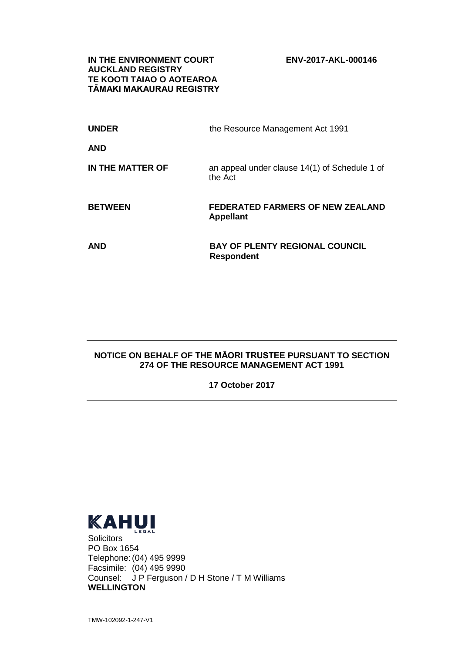**IN THE ENVIRONMENT COURT ENV-2017-AKL-000146 AUCKLAND REGISTRY TE KOOTI TAIAO O AOTEAROA TĀMAKI MAKAURAU REGISTRY**

| <b>UNDER</b>     | the Resource Management Act 1991                            |
|------------------|-------------------------------------------------------------|
| <b>AND</b>       |                                                             |
| IN THE MATTER OF | an appeal under clause 14(1) of Schedule 1 of<br>the Act    |
| <b>BETWEEN</b>   | <b>FEDERATED FARMERS OF NEW ZEALAND</b><br><b>Appellant</b> |
|                  |                                                             |

### **NOTICE ON BEHALF OF THE MĀORI TRUSTEE PURSUANT TO SECTION 274 OF THE RESOURCE MANAGEMENT ACT 1991**

**17 October 2017**



PO Box 1654 Telephone:(04) 495 9999 Facsimile: (04) 495 9990 Counsel: J P Ferguson / D H Stone / T M Williams **WELLINGTON**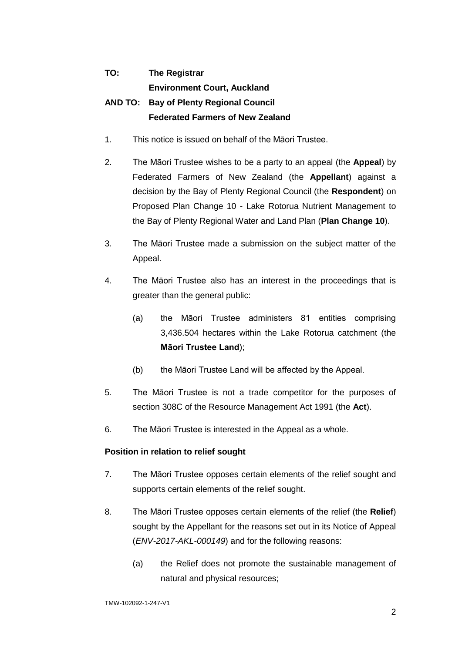# **TO: The Registrar**

**Environment Court, Auckland**

## **AND TO: Bay of Plenty Regional Council Federated Farmers of New Zealand**

- 1. This notice is issued on behalf of the Māori Trustee.
- 2. The Māori Trustee wishes to be a party to an appeal (the **Appeal**) by Federated Farmers of New Zealand (the **Appellant**) against a decision by the Bay of Plenty Regional Council (the **Respondent**) on Proposed Plan Change 10 - Lake Rotorua Nutrient Management to the Bay of Plenty Regional Water and Land Plan (**Plan Change 10**).
- 3. The Māori Trustee made a submission on the subject matter of the Appeal.
- 4. The Māori Trustee also has an interest in the proceedings that is greater than the general public:
	- (a) the Māori Trustee administers 81 entities comprising 3,436.504 hectares within the Lake Rotorua catchment (the **Māori Trustee Land**);
	- (b) the Māori Trustee Land will be affected by the Appeal.
- 5. The Māori Trustee is not a trade competitor for the purposes of section 308C of the Resource Management Act 1991 (the **Act**).
- 6. The Māori Trustee is interested in the Appeal as a whole.

### **Position in relation to relief sought**

- 7. The Māori Trustee opposes certain elements of the relief sought and supports certain elements of the relief sought.
- 8. The Māori Trustee opposes certain elements of the relief (the **Relief**) sought by the Appellant for the reasons set out in its Notice of Appeal (*ENV-2017-AKL-000149*) and for the following reasons:
	- (a) the Relief does not promote the sustainable management of natural and physical resources;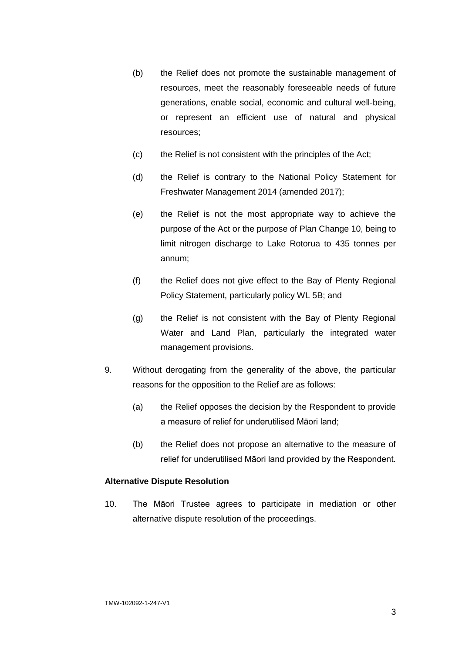- (b) the Relief does not promote the sustainable management of resources, meet the reasonably foreseeable needs of future generations, enable social, economic and cultural well-being, or represent an efficient use of natural and physical resources;
- (c) the Relief is not consistent with the principles of the Act;
- (d) the Relief is contrary to the National Policy Statement for Freshwater Management 2014 (amended 2017);
- (e) the Relief is not the most appropriate way to achieve the purpose of the Act or the purpose of Plan Change 10, being to limit nitrogen discharge to Lake Rotorua to 435 tonnes per annum;
- (f) the Relief does not give effect to the Bay of Plenty Regional Policy Statement, particularly policy WL 5B; and
- (g) the Relief is not consistent with the Bay of Plenty Regional Water and Land Plan, particularly the integrated water management provisions.
- 9. Without derogating from the generality of the above, the particular reasons for the opposition to the Relief are as follows:
	- (a) the Relief opposes the decision by the Respondent to provide a measure of relief for underutilised Māori land;
	- (b) the Relief does not propose an alternative to the measure of relief for underutilised Māori land provided by the Respondent.

### **Alternative Dispute Resolution**

10. The Māori Trustee agrees to participate in mediation or other alternative dispute resolution of the proceedings.